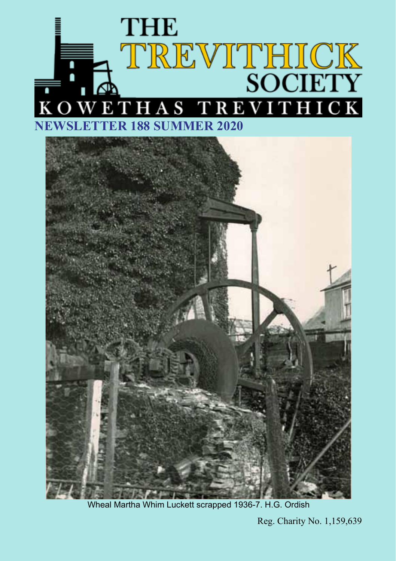



Wheal Martha Whim Luckett scrapped 1936-7. H.G. Ordish

Reg. Charity No. 1,159,639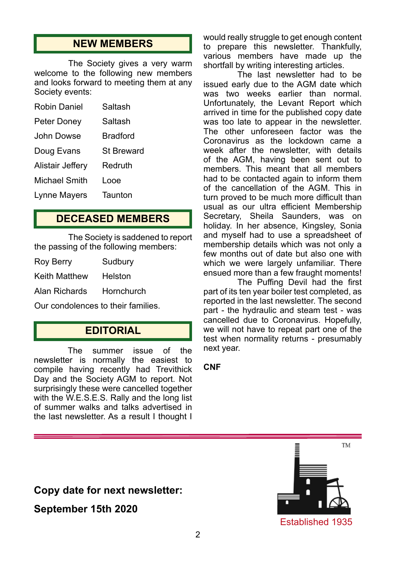## **NEW MEMBERS**

The Society gives a very warm welcome to the following new members and looks forward to meeting them at any Society events:

| Robin Daniel     | Saltash           |
|------------------|-------------------|
| Peter Doney      | Saltash           |
| John Dowse       | <b>Bradford</b>   |
| Doug Evans       | <b>St Breward</b> |
| Alistair Jeffery | Redruth           |
| Michael Smith    | l ooe             |
| Lynne Mayers     | Taunton           |

## **DECEASED MEMBERS**

The Society is saddened to report the passing of the following members:

| <b>Roy Berry</b>     | Sudbury    |
|----------------------|------------|
| <b>Keith Matthew</b> | Helston    |
| Alan Richards        | Hornchurch |

Our condolences to their families.

## **EDITORIAL**

The summer issue of the newsletter is normally the easiest to compile having recently had Trevithick Day and the Society AGM to report. Not surprisingly these were cancelled together with the W.E.S.E.S. Rally and the long list of summer walks and talks advertised in the last newsletter. As a result I thought I would really struggle to get enough content to prepare this newsletter. Thankfully, various members have made up the shortfall by writing interesting articles.

The last newsletter had to be issued early due to the AGM date which was two weeks earlier than normal. Unfortunately, the Levant Report which arrived in time for the published copy date was too late to appear in the newsletter. The other unforeseen factor was the Coronavirus as the lockdown came a week after the newsletter, with details of the AGM, having been sent out to members. This meant that all members had to be contacted again to inform them of the cancellation of the AGM. This in turn proved to be much more difficult than usual as our ultra efficient Membership Secretary, Sheila Saunders, was on holiday. In her absence, Kingsley, Sonia and myself had to use a spreadsheet of membership details which was not only a few months out of date but also one with which we were largely unfamiliar. There ensued more than a few fraught moments!

The Puffing Devil had the first part of its ten year boiler test completed, as reported in the last newsletter. The second part - the hydraulic and steam test - was cancelled due to Coronavirus. Hopefully, we will not have to repeat part one of the test when normality returns - presumably next year.

#### **CNF**

## **Copy date for next newsletter:**

**September 15th 2020**

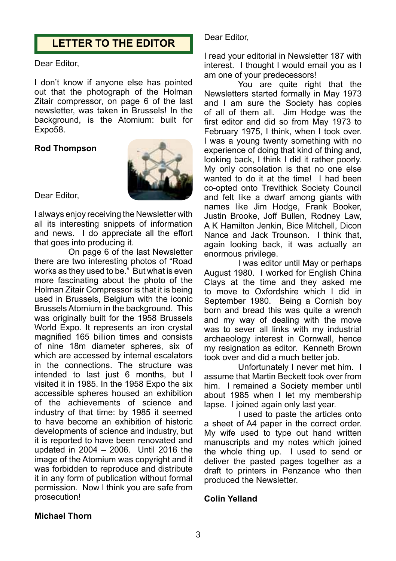## **LETTER TO THE EDITOR**

#### Dear Editor,

I don't know if anyone else has pointed out that the photograph of the Holman Zitair compressor, on page 6 of the last newsletter, was taken in Brussels! In the background, is the Atomium: built for Expo58.

#### **Rod Thompson**



Dear Editor,

I always enjoy receiving the Newsletter with all its interesting snippets of information and news. I do appreciate all the effort that goes into producing it.

On page 6 of the last Newsletter there are two interesting photos of "Road works as they used to be." But what is even more fascinating about the photo of the Holman Zitair Compressor is that it is being used in Brussels, Belgium with the iconic Brussels Atomium in the background. This was originally built for the 1958 Brussels World Expo. It represents an iron crystal magnified 165 billion times and consists of nine 18m diameter spheres, six of which are accessed by internal escalators in the connections. The structure was intended to last just 6 months, but I visited it in 1985. In the 1958 Expo the six accessible spheres housed an exhibition of the achievements of science and industry of that time: by 1985 it seemed to have become an exhibition of historic developments of science and industry, but it is reported to have been renovated and updated in 2004 – 2006. Until 2016 the image of the Atomium was copyright and it was forbidden to reproduce and distribute it in any form of publication without formal permission. Now I think you are safe from prosecution!

Dear Editor,

I read your editorial in Newsletter 187 with interest. I thought I would email you as I am one of your predecessors!

You are quite right that the Newsletters started formally in May 1973 and I am sure the Society has copies of all of them all. Jim Hodge was the first editor and did so from May 1973 to February 1975, I think, when I took over. I was a young twenty something with no experience of doing that kind of thing and, looking back, I think I did it rather poorly. My only consolation is that no one else wanted to do it at the time! I had been co-opted onto Trevithick Society Council and felt like a dwarf among giants with names like Jim Hodge, Frank Booker, Justin Brooke, Joff Bullen, Rodney Law, A K Hamilton Jenkin, Bice Mitchell, Dicon Nance and Jack Trounson. I think that, again looking back, it was actually an enormous privilege.

I was editor until May or perhaps August 1980. I worked for English China Clays at the time and they asked me to move to Oxfordshire which I did in September 1980. Being a Cornish boy born and bread this was quite a wrench and my way of dealing with the move was to sever all links with my industrial archaeology interest in Cornwall, hence my resignation as editor. Kenneth Brown took over and did a much better job.

Unfortunately I never met him. I assume that Martin Beckett took over from him. I remained a Society member until about 1985 when I let my membership lapse. I joined again only last year.

I used to paste the articles onto a sheet of A4 paper in the correct order. My wife used to type out hand written manuscripts and my notes which joined the whole thing up. I used to send or deliver the pasted pages together as a draft to printers in Penzance who then produced the Newsletter.

#### **Colin Yelland**

#### **Michael Thorn**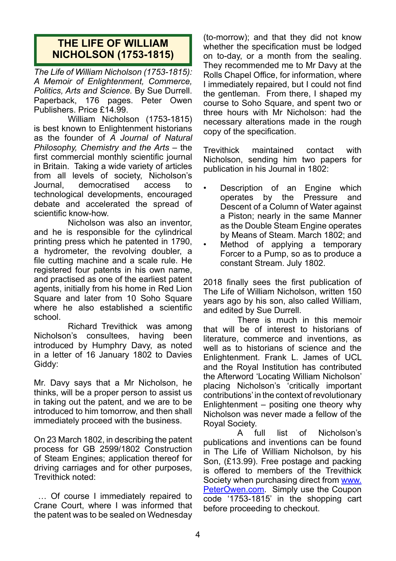## **THE LIFE OF WILLIAM NICHOLSON (1753-1815)**

*The Life of William Nicholson (1753-1815): A Memoir of Enlightenment, Commerce, Politics, Arts and Science.* By Sue Durrell. Paperback, 176 pages. Peter Owen Publishers. Price £14.99.

William Nicholson (1753-1815) is best known to Enlightenment historians as the founder of *A Journal of Natural Philosophy, Chemistry and the Arts* – the first commercial monthly scientific journal in Britain. Taking a wide variety of articles from all levels of society, Nicholson's Journal, democratised access to technological developments, encouraged debate and accelerated the spread of scientific know-how.

Nicholson was also an inventor, and he is responsible for the cylindrical printing press which he patented in 1790, a hydrometer, the revolving doubler, a file cutting machine and a scale rule. He registered four patents in his own name, and practised as one of the earliest patent agents, initially from his home in Red Lion Square and later from 10 Soho Square where he also established a scientific school.

Richard Trevithick was among Nicholson's consultees, having been introduced by Humphry Davy, as noted in a letter of 16 January 1802 to Davies Giddy:

Mr. Davy says that a Mr Nicholson, he thinks, will be a proper person to assist us in taking out the patent, and we are to be introduced to him tomorrow, and then shall immediately proceed with the business.

On 23 March 1802, in describing the patent process for GB 2599/1802 Construction of Steam Engines; application thereof for driving carriages and for other purposes, Trevithick noted:

 … Of course I immediately repaired to Crane Court, where I was informed that the patent was to be sealed on Wednesday

(to-morrow); and that they did not know whether the specification must be lodged on to-day, or a month from the sealing. They recommended me to Mr Davy at the Rolls Chapel Office, for information, where I immediately repaired, but I could not find the gentleman. From there, I shaped my course to Soho Square, and spent two or three hours with Mr Nicholson: had the necessary alterations made in the rough copy of the specification.

Trevithick maintained contact with Nicholson, sending him two papers for publication in his Journal in 1802:

- Description of an Engine which operates by the Pressure and Descent of a Column of Water against a Piston; nearly in the same Manner as the Double Steam Engine operates by Means of Steam. March 1802; and
- Method of applying a temporary Forcer to a Pump, so as to produce a constant Stream. July 1802.

2018 finally sees the first publication of The Life of William Nicholson, written 150 years ago by his son, also called William, and edited by Sue Durrell.

There is much in this memoir that will be of interest to historians of literature, commerce and inventions, as well as to historians of science and the Enlightenment. Frank L. James of UCL and the Royal Institution has contributed the Afterword 'Locating William Nicholson' placing Nicholson's 'critically important contributions' in the context of revolutionary Enlightenment – positing one theory why Nicholson was never made a fellow of the Royal Society.

A full list of Nicholson's publications and inventions can be found in The Life of William Nicholson, by his Son, (£13.99). Free postage and packing is offered to members of the Trevithick Society when purchasing direct from www. PeterOwen.com. Simply use the Coupon code '1753-1815' in the shopping cart before proceeding to checkout.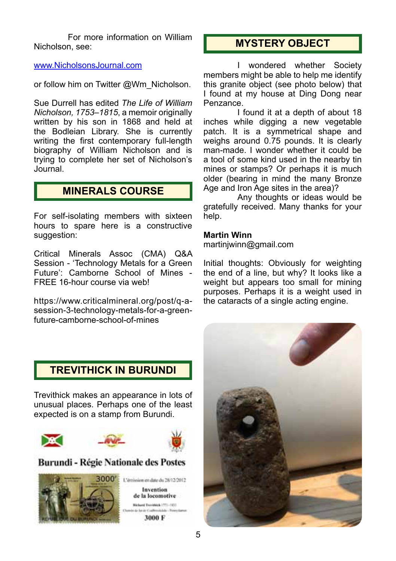For more information on William Nicholson, see:

#### www.NicholsonsJournal.com

or follow him on Twitter @Wm\_Nicholson.

Sue Durrell has edited *The Life of William Nicholson, 1753–1815*, a memoir originally written by his son in 1868 and held at the Bodleian Library. She is currently writing the first contemporary full-length biography of William Nicholson and is trying to complete her set of Nicholson's Journal.

## **MINERALS COURSE**

For self-isolating members with sixteen hours to spare here is a constructive suggestion:

Critical Minerals Assoc (CMA) Q&A Session - 'Technology Metals for a Green Future': Camborne School of Mines - FREE 16-hour course via web!

https://www.criticalmineral.org/post/q-asession-3-technology-metals-for-a-greenfuture-camborne-school-of-mines

## **MYSTERY OBJECT**

I wondered whether Society members might be able to help me identify this granite object (see photo below) that I found at my house at Ding Dong near Penzance.

I found it at a depth of about 18 inches while digging a new vegetable patch. It is a symmetrical shape and weighs around 0.75 pounds. It is clearly man-made. I wonder whether it could be a tool of some kind used in the nearby tin mines or stamps? Or perhaps it is much older (bearing in mind the many Bronze Age and Iron Age sites in the area)?

Any thoughts or ideas would be gratefully received. Many thanks for your help.

#### **Martin Winn**

martinjwinn@gmail.com

Initial thoughts: Obviously for weighting the end of a line, but why? It looks like a weight but appears too small for mining purposes. Perhaps it is a weight used in the cataracts of a single acting engine.

## **TREVITHICK IN BURUNDI**

Trevithick makes an appearance in lots of unusual places. Perhaps one of the least expected is on a stamp from Burundi.



#### Burundi - Régie Nationale des Postes

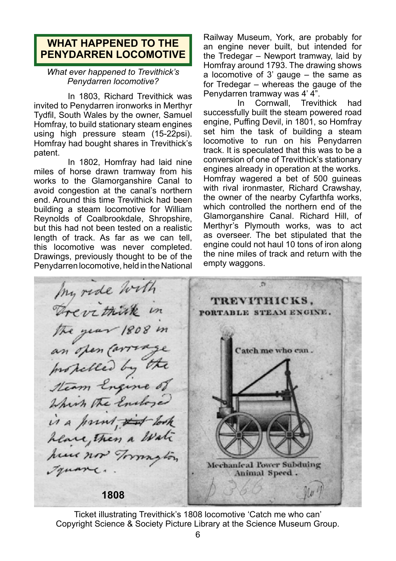## **WHAT HAPPENED TO THE PENYDARREN LOCOMOTIVE**

#### *What ever happened to Trevithick's Penydarren locomotive?*

In 1803, Richard Trevithick was invited to Penydarren ironworks in Merthyr Tydfil, South Wales by the owner, Samuel Homfray, to build stationary steam engines using high pressure steam (15-22psi). Homfray had bought shares in Trevithick's patent.

In 1802, Homfray had laid nine miles of horse drawn tramway from his works to the Glamorganshire Canal to avoid congestion at the canal's northern end. Around this time Trevithick had been building a steam locomotive for William Reynolds of Coalbrookdale, Shropshire, but this had not been tested on a realistic length of track. As far as we can tell, this locomotive was never completed. Drawings, previously thought to be of the Penydarren locomotive, held in the National

Railway Museum, York, are probably for an engine never built, but intended for the Tredegar – Newport tramway, laid by Homfray around 1793. The drawing shows a locomotive of 3' gauge – the same as for Tredegar – whereas the gauge of the

Penydarren tramway was 4' 4". Trevithick had successfully built the steam powered road engine, Puffing Devil, in 1801, so Homfray set him the task of building a steam locomotive to run on his Penydarren track. It is speculated that this was to be a conversion of one of Trevithick's stationary engines already in operation at the works. Homfray wagered a bet of 500 guineas with rival ironmaster, Richard Crawshay, the owner of the nearby Cyfarthfa works, which controlled the northern end of the Glamorganshire Canal. Richard Hill, of Merthyr's Plymouth works, was to act as overseer. The bet stipulated that the engine could not haul 10 tons of iron along the nine miles of track and return with the empty waggons.

my ride with  $\sigma$ Trevithink in TREVITHICKS. PORTABLE STEAM ENGINE. the year 1808 in<br>an open carriage<br>Inspelled by the Catch me who can. Which the Endore is a print, it look heave, Then a Water hour now Township Mechanical Power Subduing Truanc. Animal Speed. **1808**

Ticket illustrating Trevithick's 1808 locomotive 'Catch me who can' Copyright Science & Society Picture Library at the Science Museum Group.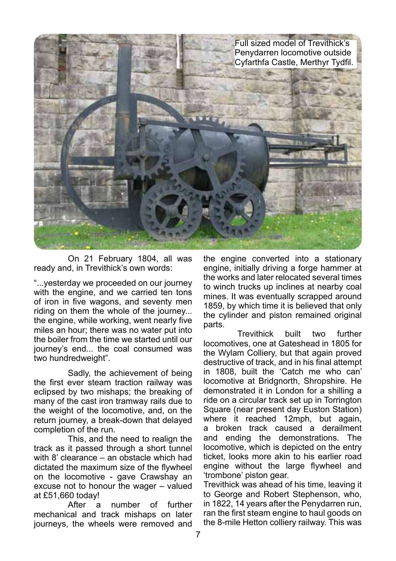

On 21 February 1804, all was ready and, in Trevithick's own words:

"...yesterday we proceeded on our journey with the engine, and we carried ten tons of iron in five wagons, and seventy men riding on them the whole of the journey... the engine, while working, went nearly five miles an hour; there was no water put into the boiler from the time we started until our journey's end... the coal consumed was two hundredweight".

Sadly, the achievement of being the first ever steam traction railway was eclipsed by two mishaps; the breaking of many of the cast iron tramway rails due to the weight of the locomotive, and, on the return journey, a break-down that delayed completion of the run.

This, and the need to realign the track as it passed through a short tunnel with 8' clearance – an obstacle which had dictated the maximum size of the flywheel on the locomotive - gave Crawshay an excuse not to honour the wager – valued at £51,660 today!

After a number of further mechanical and track mishaps on later journeys, the wheels were removed and

the engine converted into a stationary engine, initially driving a forge hammer at the works and later relocated several times to winch trucks up inclines at nearby coal mines. It was eventually scrapped around 1859, by which time it is believed that only the cylinder and piston remained original parts.

Trevithick built two further locomotives, one at Gateshead in 1805 for the Wylam Colliery, but that again proved destructive of track, and in his final attempt in 1808, built the 'Catch me who can' locomotive at Bridgnorth, Shropshire. He demonstrated it in London for a shilling a ride on a circular track set up in Torrington Square (near present day Euston Station) where it reached 12mph, but again, a broken track caused a derailment and ending the demonstrations. The locomotive, which is depicted on the entry ticket, looks more akin to his earlier road engine without the large flywheel and 'trombone' piston gear.

Trevithick was ahead of his time, leaving it to George and Robert Stephenson, who, in 1822, 14 years after the Penydarren run, ran the first steam engine to haul goods on the 8-mile Hetton colliery railway. This was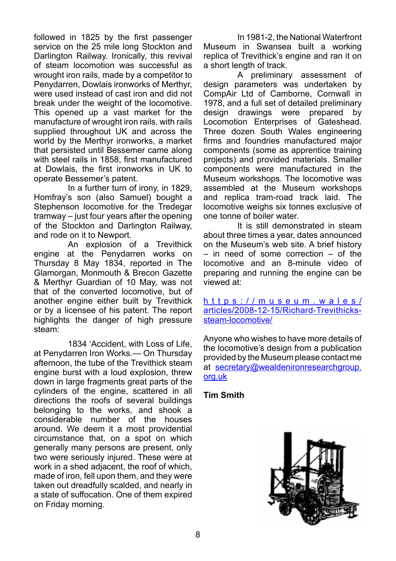followed in 1825 by the first passenger service on the 25 mile long Stockton and Darlington Railway. Ironically, this revival of steam locomotion was successful as wrought iron rails, made by a competitor to Penydarren, Dowlais ironworks of Merthyr, were used instead of cast iron and did not break under the weight of the locomotive. This opened up a vast market for the manufacture of wrought iron rails, with rails supplied throughout UK and across the world by the Merthyr ironworks, a market that persisted until Bessemer came along with steel rails in 1858, first manufactured at Dowlais, the first ironworks in UK to operate Bessemer's patent.

In a further turn of irony, in 1829, Homfray's son (also Samuel) bought a Stephenson locomotive for the Tredegar tramway – just four years after the opening of the Stockton and Darlington Railway, and rode on it to Newport.

An explosion of a Trevithick engine at the Penydarren works on Thursday 8 May 1834, reported in The Glamorgan, Monmouth & Brecon Gazette & Merthyr Guardian of 10 May, was not that of the converted locomotive, but of another engine either built by Trevithick or by a licensee of his patent. The report highlights the danger of high pressure steam:

1834 'Accident, with Loss of Life, at Penydarren Iron Works.— On Thursday afternoon, the tube of the Trevithick steam engine burst with a loud explosion, threw down in large fragments great parts of the cylinders of the engine, scattered in all directions the roofs of several buildings belonging to the works, and shook a considerable number of the houses around. We deem it a most providential circumstance that, on a spot on which generally many persons are present, only two were seriously injured. These were at work in a shed adjacent, the roof of which, made of iron, fell upon them, and they were taken out dreadfully scalded, and nearly in a state of suffocation. One of them expired on Friday morning.

In 1981-2, the National Waterfront Museum in Swansea built a working replica of Trevithick's engine and ran it on a short length of track.

A preliminary assessment of design parameters was undertaken by CompAir Ltd of Camborne, Cornwall in 1978, and a full set of detailed preliminary design drawings were prepared by Locomotion Enterprises of Gateshead. Three dozen South Wales engineering firms and foundries manufactured major components (some as apprentice training projects) and provided materials. Smaller components were manufactured in the Museum workshops. The locomotive was assembled at the Museum workshops and replica tram-road track laid. The locomotive weighs six tonnes exclusive of one tonne of boiler water.

It is still demonstrated in steam about three times a year, dates announced on the Museum's web site. A brief history – in need of some correction – of the locomotive and an 8-minute video of preparing and running the engine can be viewed at:

h t t p s : // m u s e u m . w a l e s / articles/2008-12-15/Richard-Trevithickssteam-locomotive/

Anyone who wishes to have more details of the locomotive's design from a publication provided by the Museum please contact me at secretary@wealdenironresearchgroup. org.uk

#### **Tim Smith**

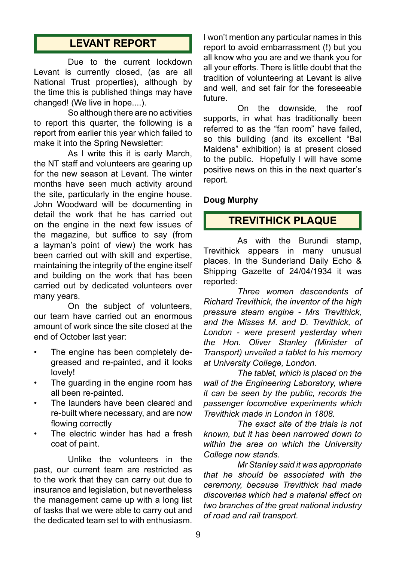## **LEVANT REPORT**

Due to the current lockdown Levant is currently closed, (as are all National Trust properties), although by the time this is published things may have changed! (We live in hope....).

So although there are no activities to report this quarter, the following is a report from earlier this year which failed to make it into the Spring Newsletter:

As I write this it is early March, the NT staff and volunteers are gearing up for the new season at Levant. The winter months have seen much activity around the site, particularly in the engine house. John Woodward will be documenting in detail the work that he has carried out on the engine in the next few issues of the magazine, but suffice to say (from a layman's point of view) the work has been carried out with skill and expertise, maintaining the integrity of the engine itself and building on the work that has been carried out by dedicated volunteers over many years.

On the subject of volunteers, our team have carried out an enormous amount of work since the site closed at the end of October last year:

- The engine has been completely degreased and re-painted, and it looks lovely!
- The guarding in the engine room has all been re-painted.
- The launders have been cleared and re-built where necessary, and are now flowing correctly
- The electric winder has had a fresh coat of paint.

Unlike the volunteers in the past, our current team are restricted as to the work that they can carry out due to insurance and legislation, but nevertheless the management came up with a long list of tasks that we were able to carry out and the dedicated team set to with enthusiasm.

I won't mention any particular names in this report to avoid embarrassment (!) but you all know who you are and we thank you for all your efforts. There is little doubt that the tradition of volunteering at Levant is alive and well, and set fair for the foreseeable future.

On the downside, the roof supports, in what has traditionally been referred to as the "fan room" have failed, so this building (and its excellent "Bal Maidens" exhibition) is at present closed to the public. Hopefully I will have some positive news on this in the next quarter's report.

#### **Doug Murphy**

## **TREVITHICK PLAQUE**

As with the Burundi stamp, Trevithick appears in many unusual places. In the Sunderland Daily Echo & Shipping Gazette of 24/04/1934 it was reported:

*Three women descendents of Richard Trevithick, the inventor of the high pressure steam engine - Mrs Trevithick, and the Misses M. and D. Trevithick, of London - were present yesterday when the Hon. Oliver Stanley (Minister of Transport) unveiled a tablet to his memory at University College, London.*

*The tablet, which is placed on the wall of the Engineering Laboratory, where it can be seen by the public, records the passenger locomotive experiments which Trevithick made in London in 1808.*

*The exact site of the trials is not known, but it has been narrowed down to within the area on which the University College now stands.*

*Mr Stanley said it was appropriate that he should be associated with the ceremony, because Trevithick had made discoveries which had a material effect on two branches of the great national industry of road and rail transport.*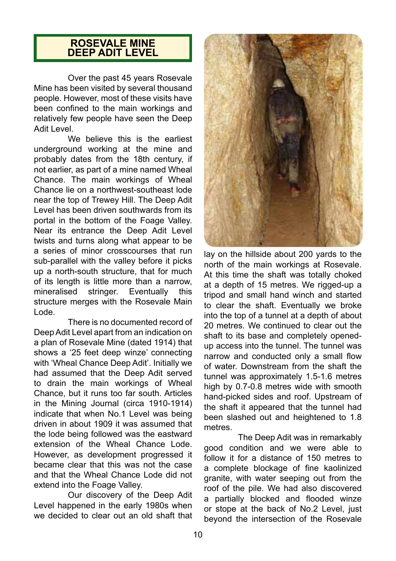### **ROSEVALE MINE DEEP ADIT LEVEL**

Over the past 45 years Rosevale Mine has been visited by several thousand people. However, most of these visits have been confined to the main workings and relatively few people have seen the Deep Adit Level.

We believe this is the earliest underground working at the mine and probably dates from the 18th century, if not earlier, as part of a mine named Wheal Chance. The main workings of Wheal Chance lie on a northwest-southeast lode near the top of Trewey Hill. The Deep Adit Level has been driven southwards from its portal in the bottom of the Foage Valley. Near its entrance the Deep Adit Level twists and turns along what appear to be a series of minor crosscourses that run sub-parallel with the valley before it picks up a north-south structure, that for much of its length is little more than a narrow,<br>mineralised stringer. Eventually this stringer. Eventually this structure merges with the Rosevale Main Lode.

There is no documented record of Deep Adit Level apart from an indication on a plan of Rosevale Mine (dated 1914) that shows a '25 feet deep winze' connecting with 'Wheal Chance Deep Adit'. Initially we had assumed that the Deep Adit served to drain the main workings of Wheal Chance, but it runs too far south. Articles in the Mining Journal (circa 1910-1914) indicate that when No.1 Level was being driven in about 1909 it was assumed that the lode being followed was the eastward extension of the Wheal Chance Lode. However, as development progressed it became clear that this was not the case and that the Wheal Chance Lode did not extend into the Foage Valley.

Our discovery of the Deep Adit Level happened in the early 1980s when we decided to clear out an old shaft that



lay on the hillside about 200 yards to the north of the main workings at Rosevale. At this time the shaft was totally choked at a depth of 15 metres. We rigged-up a tripod and small hand winch and started to clear the shaft. Eventually we broke into the top of a tunnel at a depth of about 20 metres. We continued to clear out the shaft to its base and completely openedup access into the tunnel. The tunnel was narrow and conducted only a small flow of water. Downstream from the shaft the tunnel was approximately 1.5-1.6 metres high by 0.7-0.8 metres wide with smooth hand-picked sides and roof. Upstream of the shaft it appeared that the tunnel had been slashed out and heightened to 1.8 metres.

The Deep Adit was in remarkably good condition and we were able to follow it for a distance of 150 metres to a complete blockage of fine kaolinized granite, with water seeping out from the roof of the pile. We had also discovered a partially blocked and flooded winze or stope at the back of No.2 Level, just beyond the intersection of the Rosevale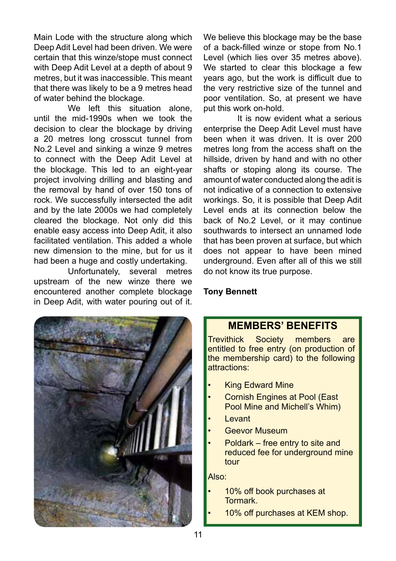Main Lode with the structure along which Deep Adit Level had been driven. We were certain that this winze/stope must connect with Deep Adit Level at a depth of about 9 metres, but it was inaccessible. This meant that there was likely to be a 9 metres head of water behind the blockage.

We left this situation alone. until the mid-1990s when we took the decision to clear the blockage by driving a 20 metres long crosscut tunnel from No.2 Level and sinking a winze 9 metres to connect with the Deep Adit Level at the blockage. This led to an eight-year project involving drilling and blasting and the removal by hand of over 150 tons of rock. We successfully intersected the adit and by the late 2000s we had completely cleared the blockage. Not only did this enable easy access into Deep Adit, it also facilitated ventilation. This added a whole new dimension to the mine, but for us it had been a huge and costly undertaking.

Unfortunately, several metres upstream of the new winze there we encountered another complete blockage in Deep Adit, with water pouring out of it.



We believe this blockage may be the base of a back-filled winze or stope from No.1 Level (which lies over 35 metres above). We started to clear this blockage a few years ago, but the work is difficult due to the very restrictive size of the tunnel and poor ventilation. So, at present we have put this work on-hold.

It is now evident what a serious enterprise the Deep Adit Level must have been when it was driven. It is over 200 metres long from the access shaft on the hillside, driven by hand and with no other shafts or stoping along its course. The amount of water conducted along the adit is not indicative of a connection to extensive workings. So, it is possible that Deep Adit Level ends at its connection below the back of No.2 Level, or it may continue southwards to intersect an unnamed lode that has been proven at surface, but which does not appear to have been mined underground. Even after all of this we still do not know its true purpose.

#### **Tony Bennett**

## **MEMBERS' BENEFITS**

Trevithick Society members are entitled to free entry (on production of the membership card) to the following attractions:

- **King Edward Mine**
- Cornish Engines at Pool (East Pool Mine and Michell's Whim)
- Levant
- **Geevor Museum**
- Poldark free entry to site and reduced fee for underground mine tour

Also:

- 10% off book purchases at Tormark.
	- 10% off purchases at KEM shop.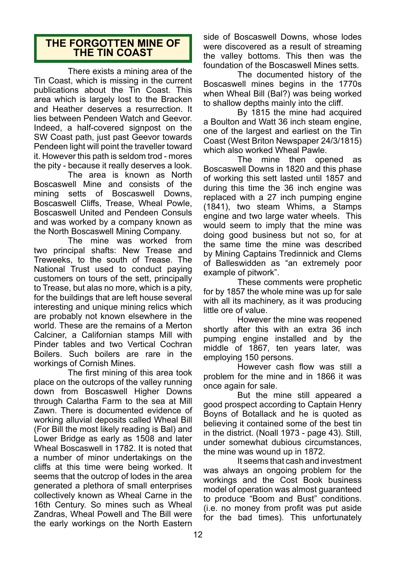## **THE FORGOTTEN MINE OF THE TIN COAST**

There exists a mining area of the Tin Coast, which is missing in the current publications about the Tin Coast. This area which is largely lost to the Bracken and Heather deserves a resurrection. It lies between Pendeen Watch and Geevor. Indeed, a half-covered signpost on the SW Coast path, just past Geevor towards Pendeen light will point the traveller toward it. However this path is seldom trod - mores the pity - because it really deserves a look.

The area is known as North Boscaswell Mine and consists of the mining setts of Boscaswell Downs, Boscaswell Cliffs, Trease, Wheal Powle, Boscaswell United and Pendeen Consuls and was worked by a company known as the North Boscaswell Mining Company.

The mine was worked from two principal shafts: New Trease and Treweeks, to the south of Trease. The National Trust used to conduct paying customers on tours of the sett, principally to Trease, but alas no more, which is a pity, for the buildings that are left house several interesting and unique mining relics which are probably not known elsewhere in the world. These are the remains of a Merton Calciner, a Californian stamps Mill with Pinder tables and two Vertical Cochran Boilers. Such boilers are rare in the workings of Cornish Mines.

The first mining of this area took place on the outcrops of the valley running down from Boscaswell Higher Downs through Calartha Farm to the sea at Mill Zawn. There is documented evidence of working alluvial deposits called Wheal Bill (For Bill the most likely reading is Bal) and Lower Bridge as early as 1508 and later Wheal Boscaswell in 1782. It is noted that a number of minor undertakings on the cliffs at this time were being worked. It seems that the outcrop of lodes in the area generated a plethora of small enterprises collectively known as Wheal Carne in the 16th Century. So mines such as Wheal Zandras, Wheal Powell and The Bill were the early workings on the North Eastern

side of Boscaswell Downs, whose lodes were discovered as a result of streaming the valley bottoms. This then was the foundation of the Boscaswell Mines setts.

The documented history of the Boscaswell mines begins in the 1770s when Wheal Bill (Bal?) was being worked to shallow depths mainly into the cliff.

By 1815 the mine had acquired a Boulton and Watt 36 inch steam engine, one of the largest and earliest on the Tin Coast (West Briton Newspaper 24/3/1815) which also worked Wheal Pawle.

The mine then opened as Boscaswell Downs in 1820 and this phase of working this sett lasted until 1857 and during this time the 36 inch engine was replaced with a 27 inch pumping engine (1841), two steam Whims, a Stamps engine and two large water wheels. This would seem to imply that the mine was doing good business but not so, for at the same time the mine was described by Mining Captains Tredinnick and Clems of Balleswidden as "an extremely poor example of pitwork".

These comments were prophetic for by 1857 the whole mine was up for sale with all its machinery, as it was producing little ore of value.

However the mine was reopened shortly after this with an extra 36 inch pumping engine installed and by the middle of 1867, ten years later, was employing 150 persons.

However cash flow was still a problem for the mine and in 1866 it was once again for sale.

But the mine still appeared a good prospect according to Captain Henry Boyns of Botallack and he is quoted as believing it contained some of the best tin in the district. (Noall 1973 - page 43). Still, under somewhat dubious circumstances, the mine was wound up in 1872.

It seems that cash and investment was always an ongoing problem for the workings and the Cost Book business model of operation was almost guaranteed to produce "Boom and Bust" conditions. (i.e. no money from profit was put aside for the bad times). This unfortunately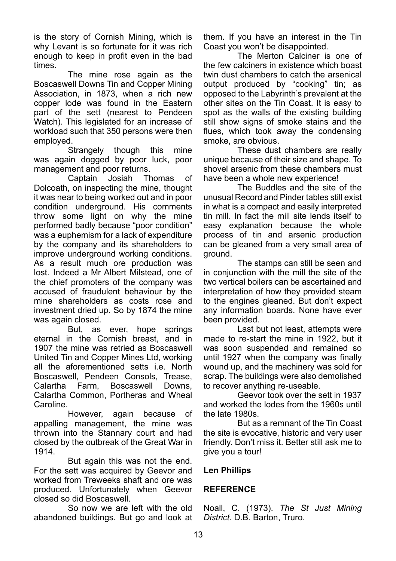is the story of Cornish Mining, which is why Levant is so fortunate for it was rich enough to keep in profit even in the bad times.

The mine rose again as the Boscaswell Downs Tin and Copper Mining Association, in 1873, when a rich new copper lode was found in the Eastern part of the sett (nearest to Pendeen Watch). This legislated for an increase of workload such that 350 persons were then employed.

Strangely though this mine was again dogged by poor luck, poor management and poor returns.

Captain Josiah Thomas of Dolcoath, on inspecting the mine, thought it was near to being worked out and in poor condition underground. His comments throw some light on why the mine performed badly because "poor condition" was a euphemism for a lack of expenditure by the company and its shareholders to improve underground working conditions. As a result much ore production was lost. Indeed a Mr Albert Milstead, one of the chief promoters of the company was accused of fraudulent behaviour by the mine shareholders as costs rose and investment dried up. So by 1874 the mine was again closed.<br>But as

as ever, hope springs eternal in the Cornish breast, and in 1907 the mine was retried as Boscaswell United Tin and Copper Mines Ltd, working all the aforementioned setts i.e. North Boscaswell, Pendeen Consols, Trease, Calartha Farm, Boscaswell Downs, Calartha Common, Portheras and Wheal Caroline.

However, again because of appalling management, the mine was thrown into the Stannary court and had closed by the outbreak of the Great War in 1914.

But again this was not the end. For the sett was acquired by Geevor and worked from Treweeks shaft and ore was produced. Unfortunately when Geevor closed so did Boscaswell.

So now we are left with the old abandoned buildings. But go and look at them. If you have an interest in the Tin Coast you won't be disappointed.

The Merton Calciner is one of the few calciners in existence which boast twin dust chambers to catch the arsenical output produced by "cooking" tin; as opposed to the Labyrinth's prevalent at the other sites on the Tin Coast. It is easy to spot as the walls of the existing building still show signs of smoke stains and the flues, which took away the condensing smoke, are obvious.

These dust chambers are really unique because of their size and shape. To shovel arsenic from these chambers must have been a whole new experience!

The Buddles and the site of the unusual Record and Pinder tables still exist in what is a compact and easily interpreted tin mill. In fact the mill site lends itself to easy explanation because the whole process of tin and arsenic production can be gleaned from a very small area of ground.

The stamps can still be seen and in conjunction with the mill the site of the two vertical boilers can be ascertained and interpretation of how they provided steam to the engines gleaned. But don't expect any information boards. None have ever been provided.

Last but not least, attempts were made to re-start the mine in 1922, but it was soon suspended and remained so until 1927 when the company was finally wound up, and the machinery was sold for scrap. The buildings were also demolished to recover anything re-useable.

Geevor took over the sett in 1937 and worked the lodes from the 1960s until the late 1980s.

But as a remnant of the Tin Coast the site is evocative, historic and very user friendly. Don't miss it. Better still ask me to give you a tour!

#### **Len Phillips**

#### **REFERENCE**

Noall, C. (1973). *The St Just Mining District.* D.B. Barton, Truro.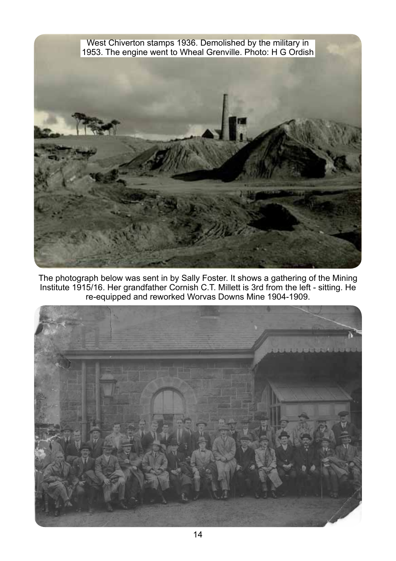

The photograph below was sent in by Sally Foster. It shows a gathering of the Mining Institute 1915/16. Her grandfather Cornish C.T. Millett is 3rd from the left - sitting. He re-equipped and reworked Worvas Downs Mine 1904-1909.

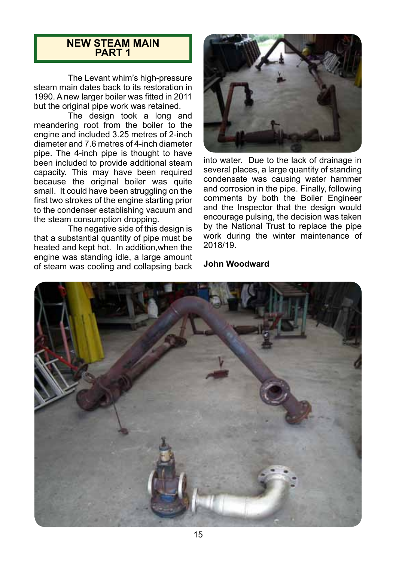#### **NEW STEAM MAIN PART 1**

The Levant whim's high-pressure steam main dates back to its restoration in 1990. A new larger boiler was fitted in 2011 but the original pipe work was retained.

The design took a long and meandering root from the boiler to the engine and included 3.25 metres of 2-inch diameter and 7.6 metres of 4-inch diameter pipe. The 4-inch pipe is thought to have been included to provide additional steam capacity. This may have been required because the original boiler was quite small. It could have been struggling on the first two strokes of the engine starting prior to the condenser establishing vacuum and the steam consumption dropping.

The negative side of this design is that a substantial quantity of pipe must be heated and kept hot. In addition,when the engine was standing idle, a large amount of steam was cooling and collapsing back



into water. Due to the lack of drainage in several places, a large quantity of standing condensate was causing water hammer and corrosion in the pipe. Finally, following comments by both the Boiler Engineer and the Inspector that the design would encourage pulsing, the decision was taken by the National Trust to replace the pipe work during the winter maintenance of 2018/19.

#### **John Woodward**

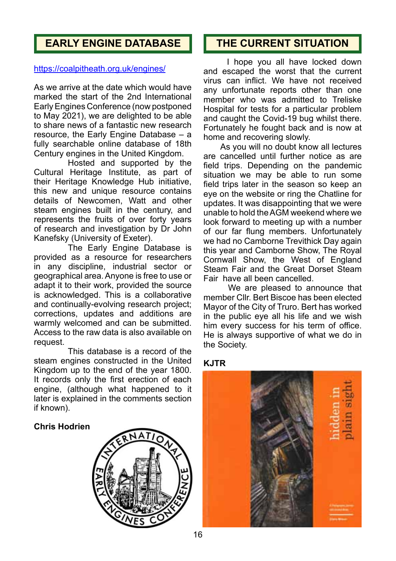## **EARLY ENGINE DATABASE**

#### https://coalpitheath.org.uk/engines/

As we arrive at the date which would have marked the start of the 2nd International Early Engines Conference (now postponed to May 2021), we are delighted to be able to share news of a fantastic new research resource, the Early Engine Database – a fully searchable online database of 18th Century engines in the United Kingdom.

Hosted and supported by the Cultural Heritage Institute, as part of their Heritage Knowledge Hub initiative, this new and unique resource contains details of Newcomen, Watt and other steam engines built in the century, and represents the fruits of over forty years of research and investigation by Dr John Kanefsky (University of Exeter).

The Early Engine Database is provided as a resource for researchers in any discipline, industrial sector or geographical area. Anyone is free to use or adapt it to their work, provided the source is acknowledged. This is a collaborative and continually-evolving research project; corrections, updates and additions are warmly welcomed and can be submitted. Access to the raw data is also available on request.

This database is a record of the steam engines constructed in the United Kingdom up to the end of the year 1800. It records only the first erection of each engine, (although what happened to it later is explained in the comments section if known).

#### **Chris Hodrien**



## **THE CURRENT SITUATION**

 I hope you all have locked down and escaped the worst that the current virus can inflict. We have not received any unfortunate reports other than one member who was admitted to Treliske Hospital for tests for a particular problem and caught the Covid-19 bug whilst there. Fortunately he fought back and is now at home and recovering slowly.

 As you will no doubt know all lectures are cancelled until further notice as are field trips. Depending on the pandemic situation we may be able to run some field trips later in the season so keep an eye on the website or ring the Chatline for updates. It was disappointing that we were unable to hold the AGM weekend where we look forward to meeting up with a number of our far flung members. Unfortunately we had no Camborne Trevithick Day again this year and Camborne Show, The Royal Cornwall Show, the West of England Steam Fair and the Great Dorset Steam Fair have all been cancelled.

We are pleased to announce that member Cllr. Bert Biscoe has been elected Mayor of the City of Truro. Bert has worked in the public eye all his life and we wish him every success for his term of office. He is always supportive of what we do in the Society.

#### **KJTR**

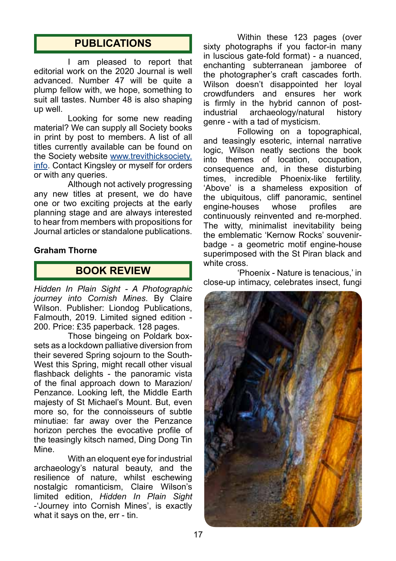## **PUBLICATIONS**

I am pleased to report that editorial work on the 2020 Journal is well advanced. Number 47 will be quite a plump fellow with, we hope, something to suit all tastes. Number 48 is also shaping up well.

Looking for some new reading material? We can supply all Society books in print by post to members. A list of all titles currently available can be found on the Society website www.trevithicksociety. info. Contact Kingsley or myself for orders or with any queries.

Although not actively progressing any new titles at present, we do have one or two exciting projects at the early planning stage and are always interested to hear from members with propositions for Journal articles or standalone publications.

#### **Graham Thorne**

## **BOOK REVIEW**

*Hidden In Plain Sight - A Photographic journey into Cornish Mines*. By Claire Wilson. Publisher: Liondog Publications, Falmouth, 2019. Limited signed edition - 200. Price: £35 paperback. 128 pages.

Those bingeing on Poldark boxsets as a lockdown palliative diversion from their severed Spring sojourn to the South-West this Spring, might recall other visual flashback delights - the panoramic vista of the final approach down to Marazion/ Penzance. Looking left, the Middle Earth majesty of St Michael's Mount. But, even more so, for the connoisseurs of subtle minutiae: far away over the Penzance horizon perches the evocative profile of the teasingly kitsch named, Ding Dong Tin Mine.

With an eloquent eye for industrial archaeology's natural beauty, and the resilience of nature, whilst eschewing nostalgic romanticism, Claire Wilson's limited edition, *Hidden In Plain Sight*  -'Journey into Cornish Mines', is exactly what it says on the, err - tin.

Within these 123 pages (over sixty photographs if you factor-in many in luscious gate-fold format) - a nuanced, enchanting subterranean jamboree of the photographer's craft cascades forth. Wilson doesn't disappointed her loyal crowdfunders and ensures her work is firmly in the hybrid cannon of post-<br>industrial archaeology/natural history industrial archaeology/natural genre - with a tad of mysticism.

Following on a topographical, and teasingly esoteric, internal narrative logic, Wilson neatly sections the book into themes of location, occupation, consequence and, in these disturbing times, incredible Phoenix-like fertility. 'Above' is a shameless exposition of the ubiquitous, cliff panoramic, sentinel engine-houses whose profiles are continuously reinvented and re-morphed. The witty, minimalist inevitability being the emblematic 'Kernow Rocks' souvenirbadge - a geometric motif engine-house superimposed with the St Piran black and white cross.

'Phoenix - Nature is tenacious,' in close-up intimacy, celebrates insect, fungi

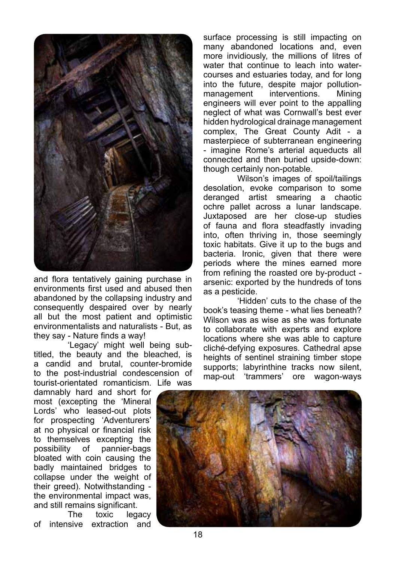

and flora tentatively gaining purchase in environments first used and abused then abandoned by the collapsing industry and consequently despaired over by nearly all but the most patient and optimistic environmentalists and naturalists - But, as they say - Nature finds a way!

'Legacy' might well being subtitled, the beauty and the bleached, is a candid and brutal, counter-bromide to the post-industrial condescension of tourist-orientated romanticism. Life was

damnably hard and short for most (excepting the 'Mineral Lords' who leased-out plots for prospecting 'Adventurers' at no physical or financial risk to themselves excepting the possibility of pannier-bags bloated with coin causing the badly maintained bridges to collapse under the weight of their greed). Notwithstanding the environmental impact was, and still remains significant.

The toxic legacy of intensive extraction and

surface processing is still impacting on many abandoned locations and, even more invidiously, the millions of litres of water that continue to leach into watercourses and estuaries today, and for long into the future, despite major pollutionmanagement interventions. Mining engineers will ever point to the appalling neglect of what was Cornwall's best ever hidden hydrological drainage management complex, The Great County Adit - a masterpiece of subterranean engineering - imagine Rome's arterial aqueducts all connected and then buried upside-down: though certainly non-potable.

Wilson's images of spoil/tailings desolation, evoke comparison to some deranged artist smearing a chaotic ochre pallet across a lunar landscape. Juxtaposed are her close-up studies of fauna and flora steadfastly invading into, often thriving in, those seemingly toxic habitats. Give it up to the bugs and bacteria. Ironic, given that there were periods where the mines earned more from refining the roasted ore by-product arsenic: exported by the hundreds of tons as a pesticide.

'Hidden' cuts to the chase of the book's teasing theme - what lies beneath? Wilson was as wise as she was fortunate to collaborate with experts and explore locations where she was able to capture cliché-defying exposures. Cathedral apse heights of sentinel straining timber stope supports; labyrinthine tracks now silent, map-out 'trammers' ore wagon-ways

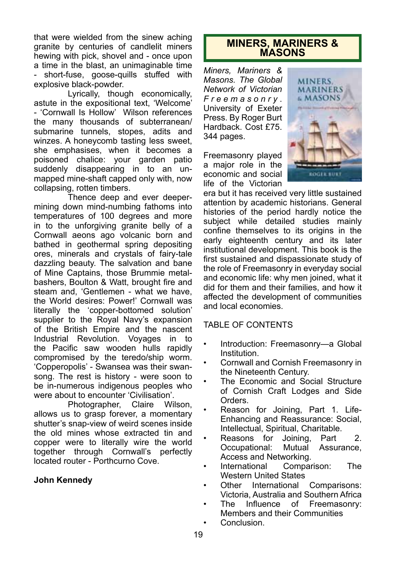that were wielded from the sinew aching granite by centuries of candlelit miners hewing with pick, shovel and - once upon a time in the blast, an unimaginable time - short-fuse, goose-quills stuffed with explosive black-powder.

Lyrically, though economically, astute in the expositional text, 'Welcome' - 'Cornwall Is Hollow' Wilson references the many thousands of subterranean/ submarine tunnels, stopes, adits and winzes. A honeycomb tasting less sweet, she emphasises, when it becomes a poisoned chalice: your garden patio suddenly disappearing in to an unmapped mine-shaft capped only with, now collapsing, rotten timbers.

Thence deep and ever deepermining down mind-numbing fathoms into temperatures of 100 degrees and more in to the unforgiving granite belly of a Cornwall aeons ago volcanic born and bathed in geothermal spring depositing ores, minerals and crystals of fairy-tale dazzling beauty. The salvation and bane of Mine Captains, those Brummie metalbashers, Boulton & Watt, brought fire and steam and, 'Gentlemen - what we have, the World desires: Power!' Cornwall was literally the 'copper-bottomed solution' supplier to the Royal Navy's expansion of the British Empire and the nascent Industrial Revolution. Voyages in to the Pacific saw wooden hulls rapidly compromised by the teredo/ship worm. 'Copperopolis' - Swansea was their swansong. The rest is history - were soon to be in-numerous indigenous peoples who were about to encounter 'Civilisation'.

Photographer, Claire Wilson, allows us to grasp forever, a momentary shutter's snap-view of weird scenes inside the old mines whose extracted tin and copper were to literally wire the world together through Cornwall's perfectly located router - Porthcurno Cove.

#### **John Kennedy**

## **MINERS, MARINERS & MASONS**

*Miners, Mariners & Masons. The Global Network of Victorian F r e e m a s o n r y* . University of Exeter Press. By Roger Burt Hardback. Cost £75. 344 pages.

Freemasonry played a major role in the economic and social life of the Victorian



era but it has received very little sustained attention by academic historians. General histories of the period hardly notice the subject while detailed studies mainly confine themselves to its origins in the early eighteenth century and its later institutional development. This book is the first sustained and dispassionate study of the role of Freemasonry in everyday social and economic life: why men joined, what it did for them and their families, and how it affected the development of communities and local economies.

#### TABLE OF CONTENTS

- Introduction: Freemasonry-a Global Institution.
- Cornwall and Cornish Freemasonry in the Nineteenth Century.
- The Economic and Social Structure of Cornish Craft Lodges and Side Orders.
- Reason for Joining, Part 1. Life-Enhancing and Reassurance: Social, Intellectual, Spiritual, Charitable.
- Reasons for Joining, Part 2. Occupational: Access and Networking.
- International Comparison: The Western United States
- Other International Comparisons: Victoria, Australia and Southern Africa
- The Influence of Freemasonry: Members and their Communities
- Conclusion.